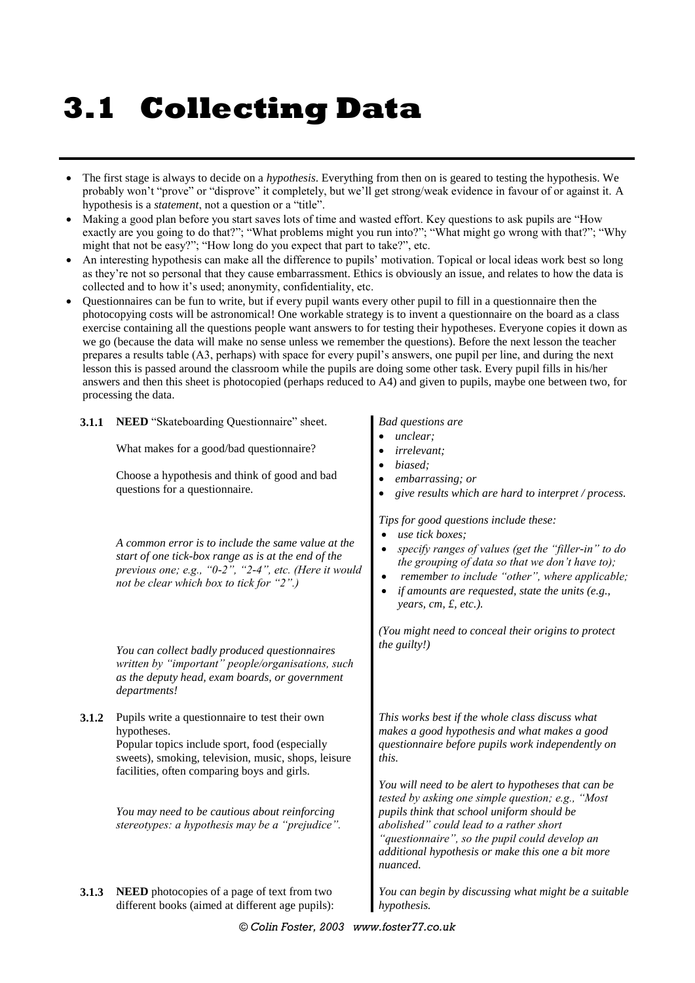# **3.1 Collecting Data**

- The first stage is always to decide on a *hypothesis*. Everything from then on is geared to testing the hypothesis. We probably won't "prove" or "disprove" it completely, but we'll get strong/weak evidence in favour of or against it. A hypothesis is a *statement*, not a question or a "title".
- Making a good plan before you start saves lots of time and wasted effort. Key questions to ask pupils are "How" exactly are you going to do that?"; "What problems might you run into?"; "What might go wrong with that?"; "Why might that not be easy?"; "How long do you expect that part to take?", etc.
- An interesting hypothesis can make all the difference to pupils' motivation. Topical or local ideas work best so long as they're not so personal that they cause embarrassment. Ethics is obviously an issue, and relates to how the data is collected and to how it's used; anonymity, confidentiality, etc.
- Questionnaires can be fun to write, but if every pupil wants every other pupil to fill in a questionnaire then the photocopying costs will be astronomical! One workable strategy is to invent a questionnaire on the board as a class exercise containing all the questions people want answers to for testing their hypotheses. Everyone copies it down as we go (because the data will make no sense unless we remember the questions). Before the next lesson the teacher prepares a results table (A3, perhaps) with space for every pupil's answers, one pupil per line, and during the next lesson this is passed around the classroom while the pupils are doing some other task. Every pupil fills in his/her answers and then this sheet is photocopied (perhaps reduced to A4) and given to pupils, maybe one between two, for processing the data.

| 3.1.1 | NEED "Skateboarding Questionnaire" sheet.                                                                                                                                                                             | <b>Bad questions are</b><br>unclear;                                                                                                                                                                                                                                                                                                       |
|-------|-----------------------------------------------------------------------------------------------------------------------------------------------------------------------------------------------------------------------|--------------------------------------------------------------------------------------------------------------------------------------------------------------------------------------------------------------------------------------------------------------------------------------------------------------------------------------------|
|       | What makes for a good/bad questionnaire?                                                                                                                                                                              | irrelevant;                                                                                                                                                                                                                                                                                                                                |
|       | Choose a hypothesis and think of good and bad<br>questions for a questionnaire.                                                                                                                                       | biased;<br>embarrassing; or<br>give results which are hard to interpret / process.                                                                                                                                                                                                                                                         |
|       | A common error is to include the same value at the<br>start of one tick-box range as is at the end of the<br>previous one; e.g., "0-2", "2-4", etc. (Here it would<br>not be clear which box to tick for "2".)        | Tips for good questions include these:<br>use tick boxes;<br>specify ranges of values (get the "filler-in" to do<br>$\bullet$<br>the grouping of data so that we don't have to);<br>remember to include "other", where applicable;<br>$\bullet$<br>if amounts are requested, state the units $(e.g.,$<br>$\bullet$<br>years, cm, £, etc.). |
|       | You can collect badly produced questionnaires<br>written by "important" people/organisations, such<br>as the deputy head, exam boards, or government<br>departments!                                                  | (You might need to conceal their origins to protect<br>the guilty!)                                                                                                                                                                                                                                                                        |
| 3.1.2 | Pupils write a questionnaire to test their own<br>hypotheses.<br>Popular topics include sport, food (especially<br>sweets), smoking, television, music, shops, leisure<br>facilities, often comparing boys and girls. | This works best if the whole class discuss what<br>makes a good hypothesis and what makes a good<br>questionnaire before pupils work independently on<br>this.                                                                                                                                                                             |
|       | You may need to be cautious about reinforcing<br>stereotypes: a hypothesis may be a "prejudice".                                                                                                                      | You will need to be alert to hypotheses that can be<br>tested by asking one simple question; e.g., "Most<br>pupils think that school uniform should be<br>abolished" could lead to a rather short<br>"questionnaire", so the pupil could develop an<br>additional hypothesis or make this one a bit more<br>nuanced.                       |
| 3.1.3 | NEED photocopies of a page of text from two<br>different books (aimed at different age pupils):                                                                                                                       | You can begin by discussing what might be a suitable<br>hypothesis.                                                                                                                                                                                                                                                                        |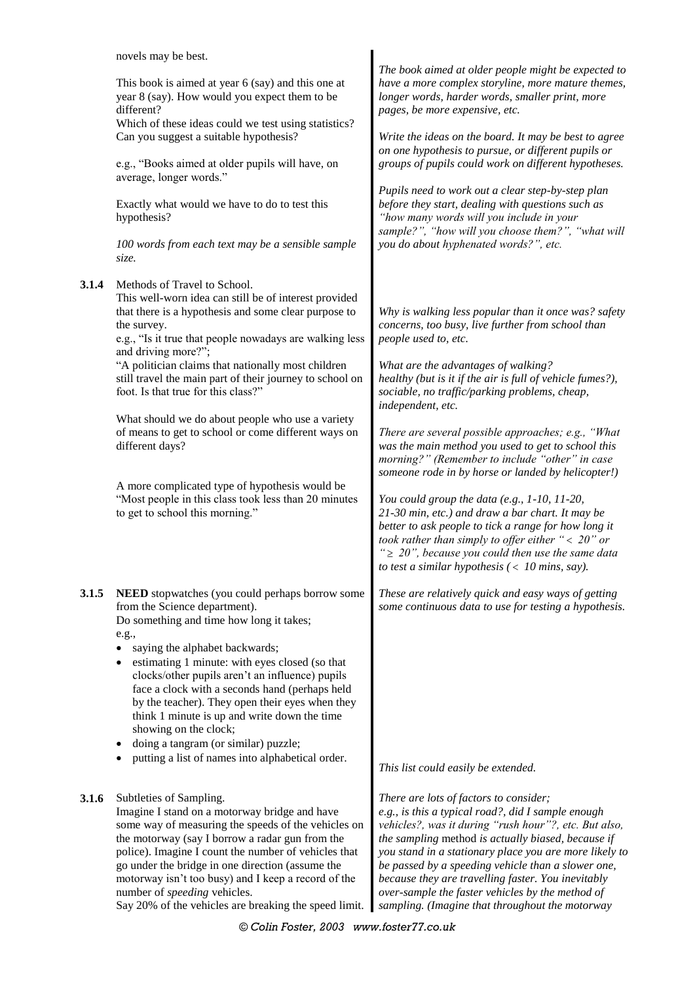|       | novels may be best.<br>This book is aimed at year 6 (say) and this one at<br>year 8 (say). How would you expect them to be<br>different?<br>Which of these ideas could we test using statistics?<br>Can you suggest a suitable hypothesis?<br>e.g., "Books aimed at older pupils will have, on<br>average, longer words."<br>Exactly what would we have to do to test this<br>hypothesis?<br>100 words from each text may be a sensible sample | The book aimed at older people might be expected to<br>have a more complex storyline, more mature themes,<br>longer words, harder words, smaller print, more<br>pages, be more expensive, etc.<br>Write the ideas on the board. It may be best to agree<br>on one hypothesis to pursue, or different pupils or<br>groups of pupils could work on different hypotheses.<br>Pupils need to work out a clear step-by-step plan<br>before they start, dealing with questions such as<br>"how many words will you include in your<br>sample?", "how will you choose them?", "what will<br>you do about hyphenated words?", etc. |
|-------|------------------------------------------------------------------------------------------------------------------------------------------------------------------------------------------------------------------------------------------------------------------------------------------------------------------------------------------------------------------------------------------------------------------------------------------------|----------------------------------------------------------------------------------------------------------------------------------------------------------------------------------------------------------------------------------------------------------------------------------------------------------------------------------------------------------------------------------------------------------------------------------------------------------------------------------------------------------------------------------------------------------------------------------------------------------------------------|
|       | size.                                                                                                                                                                                                                                                                                                                                                                                                                                          |                                                                                                                                                                                                                                                                                                                                                                                                                                                                                                                                                                                                                            |
| 3.1.4 | Methods of Travel to School.<br>This well-worn idea can still be of interest provided<br>that there is a hypothesis and some clear purpose to<br>the survey.<br>e.g., "Is it true that people nowadays are walking less<br>and driving more?";                                                                                                                                                                                                 | Why is walking less popular than it once was? safety<br>concerns, too busy, live further from school than<br>people used to, etc.                                                                                                                                                                                                                                                                                                                                                                                                                                                                                          |
|       | "A politician claims that nationally most children<br>still travel the main part of their journey to school on<br>foot. Is that true for this class?"                                                                                                                                                                                                                                                                                          | What are the advantages of walking?<br>healthy (but is it if the air is full of vehicle fumes?),<br>sociable, no traffic/parking problems, cheap,<br>independent, etc.                                                                                                                                                                                                                                                                                                                                                                                                                                                     |
|       | What should we do about people who use a variety<br>of means to get to school or come different ways on<br>different days?                                                                                                                                                                                                                                                                                                                     | There are several possible approaches; e.g., "What<br>was the main method you used to get to school this<br>morning?" (Remember to include "other" in case<br>someone rode in by horse or landed by helicopter!)                                                                                                                                                                                                                                                                                                                                                                                                           |
|       | A more complicated type of hypothesis would be<br>"Most people in this class took less than 20 minutes<br>to get to school this morning."                                                                                                                                                                                                                                                                                                      | You could group the data (e.g., $1-10$ , $11-20$ ,<br>21-30 min, etc.) and draw a bar chart. It may be<br>better to ask people to tick a range for how long it<br>took rather than simply to offer either " $<$ 20" or<br>" $\geq$ 20", because you could then use the same data<br>to test a similar hypothesis $($ < 10 mins, say).                                                                                                                                                                                                                                                                                      |
| 3.1.5 | <b>NEED</b> stopwatches (you could perhaps borrow some<br>from the Science department).<br>Do something and time how long it takes;<br>e.g.,                                                                                                                                                                                                                                                                                                   | These are relatively quick and easy ways of getting<br>some continuous data to use for testing a hypothesis.                                                                                                                                                                                                                                                                                                                                                                                                                                                                                                               |
|       | saying the alphabet backwards;<br>$\bullet$<br>estimating 1 minute: with eyes closed (so that<br>$\bullet$<br>clocks/other pupils aren't an influence) pupils<br>face a clock with a seconds hand (perhaps held<br>by the teacher). They open their eyes when they<br>think 1 minute is up and write down the time<br>showing on the clock;<br>doing a tangram (or similar) puzzle;<br>٠<br>putting a list of names into alphabetical order.   |                                                                                                                                                                                                                                                                                                                                                                                                                                                                                                                                                                                                                            |
|       |                                                                                                                                                                                                                                                                                                                                                                                                                                                | This list could easily be extended.                                                                                                                                                                                                                                                                                                                                                                                                                                                                                                                                                                                        |
| 3.1.6 | Subtleties of Sampling.<br>Imagine I stand on a motorway bridge and have<br>some way of measuring the speeds of the vehicles on<br>the motorway (say I borrow a radar gun from the<br>police). Imagine I count the number of vehicles that<br>go under the bridge in one direction (assume the<br>motorway isn't too busy) and I keep a record of the                                                                                          | There are lots of factors to consider;<br>e.g., is this a typical road?, did I sample enough<br>vehicles?, was it during "rush hour"?, etc. But also,<br>the sampling method is actually biased, because if<br>you stand in a stationary place you are more likely to<br>be passed by a speeding vehicle than a slower one,<br>because they are travelling faster. You inevitably                                                                                                                                                                                                                                          |

*© Colin Foster, 2003 www.foster77.co.uk*

*over-sample the faster vehicles by the method of sampling. (Imagine that throughout the motorway* 

number of *speeding* vehicles.

Say 20% of the vehicles are breaking the speed limit.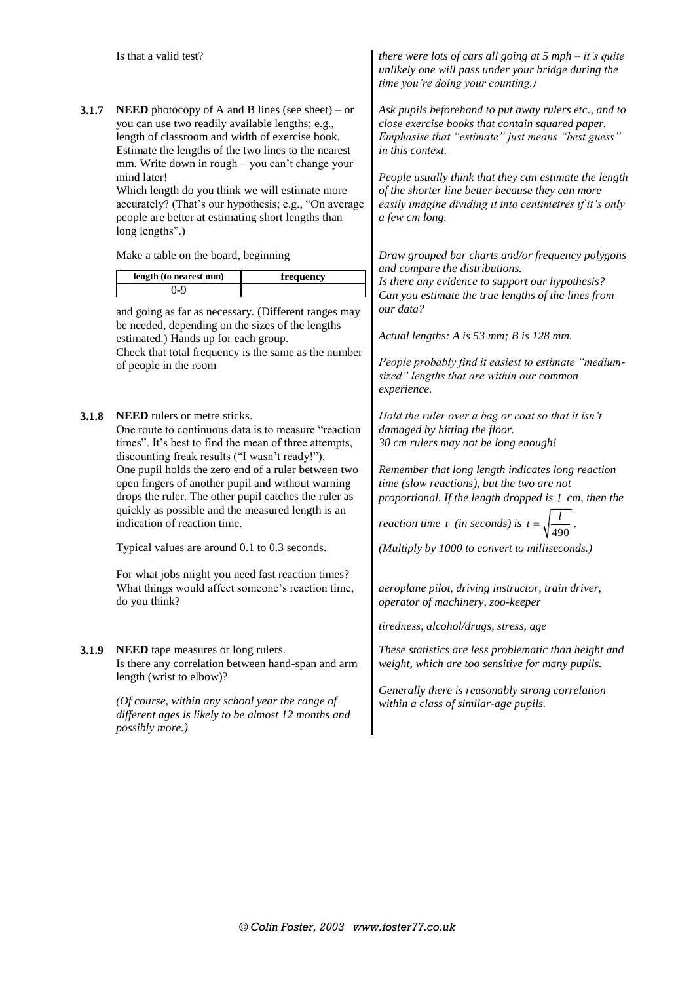|       | Is that a valid test?                                                                                                                                                                                                                                                                                                                                                                                                                                                                                                                                                                                                                         |           | there were lots of cars all going at $5$ mph $-$ it's quite<br>unlikely one will pass under your bridge during the<br>time you're doing your counting.)                                                                                                                                                                                                                                                                                                                                                                                     |
|-------|-----------------------------------------------------------------------------------------------------------------------------------------------------------------------------------------------------------------------------------------------------------------------------------------------------------------------------------------------------------------------------------------------------------------------------------------------------------------------------------------------------------------------------------------------------------------------------------------------------------------------------------------------|-----------|---------------------------------------------------------------------------------------------------------------------------------------------------------------------------------------------------------------------------------------------------------------------------------------------------------------------------------------------------------------------------------------------------------------------------------------------------------------------------------------------------------------------------------------------|
| 3.1.7 | <b>NEED</b> photocopy of A and B lines (see sheet) – or<br>you can use two readily available lengths; e.g.,<br>length of classroom and width of exercise book.<br>Estimate the lengths of the two lines to the nearest<br>mm. Write down in rough - you can't change your<br>mind later!<br>Which length do you think we will estimate more<br>accurately? (That's our hypothesis; e.g., "On average<br>people are better at estimating short lengths than<br>long lengths".)                                                                                                                                                                 |           | Ask pupils beforehand to put away rulers etc., and to<br>close exercise books that contain squared paper.<br>Emphasise that "estimate" just means "best guess"<br>in this context.<br>People usually think that they can estimate the length<br>of the shorter line better because they can more<br>easily imagine dividing it into centimetres if it's only<br>a few cm long.                                                                                                                                                              |
|       | Make a table on the board, beginning                                                                                                                                                                                                                                                                                                                                                                                                                                                                                                                                                                                                          |           | Draw grouped bar charts and/or frequency polygons<br>and compare the distributions.                                                                                                                                                                                                                                                                                                                                                                                                                                                         |
|       | length (to nearest mm)<br>$0 - 9$<br>and going as far as necessary. (Different ranges may<br>be needed, depending on the sizes of the lengths                                                                                                                                                                                                                                                                                                                                                                                                                                                                                                 | frequency | Is there any evidence to support our hypothesis?<br>Can you estimate the true lengths of the lines from<br>our data?                                                                                                                                                                                                                                                                                                                                                                                                                        |
|       | estimated.) Hands up for each group.<br>Check that total frequency is the same as the number<br>of people in the room                                                                                                                                                                                                                                                                                                                                                                                                                                                                                                                         |           | Actual lengths: A is 53 mm; B is 128 mm.<br>People probably find it easiest to estimate "medium-<br>sized" lengths that are within our common<br>experience.                                                                                                                                                                                                                                                                                                                                                                                |
| 3.1.8 | <b>NEED</b> rulers or metre sticks.<br>One route to continuous data is to measure "reaction"<br>times". It's best to find the mean of three attempts,<br>discounting freak results ("I wasn't ready!").<br>One pupil holds the zero end of a ruler between two<br>open fingers of another pupil and without warning<br>drops the ruler. The other pupil catches the ruler as<br>quickly as possible and the measured length is an<br>indication of reaction time.<br>Typical values are around 0.1 to 0.3 seconds.<br>For what jobs might you need fast reaction times?<br>What things would affect someone's reaction time,<br>do you think? |           | Hold the ruler over a bag or coat so that it isn't<br>damaged by hitting the floor.<br>30 cm rulers may not be long enough!<br>Remember that long length indicates long reaction<br>time (slow reactions), but the two are not<br>proportional. If the length dropped is 1 cm, then the<br>reaction time t (in seconds) is $t = \sqrt{\frac{1}{t^2}}$<br>(Multiply by 1000 to convert to milliseconds.)<br>aeroplane pilot, driving instructor, train driver,<br>operator of machinery, zoo-keeper<br>tiredness, alcohol/drugs, stress, age |
| 3.1.9 | <b>NEED</b> tape measures or long rulers.<br>Is there any correlation between hand-span and arm<br>length (wrist to elbow)?                                                                                                                                                                                                                                                                                                                                                                                                                                                                                                                   |           | These statistics are less problematic than height and<br>weight, which are too sensitive for many pupils.                                                                                                                                                                                                                                                                                                                                                                                                                                   |
|       | (Of course, within any school year the range of<br>different ages is likely to be almost 12 months and<br>possibly more.)                                                                                                                                                                                                                                                                                                                                                                                                                                                                                                                     |           | Generally there is reasonably strong correlation<br>within a class of similar-age pupils.                                                                                                                                                                                                                                                                                                                                                                                                                                                   |
|       |                                                                                                                                                                                                                                                                                                                                                                                                                                                                                                                                                                                                                                               |           |                                                                                                                                                                                                                                                                                                                                                                                                                                                                                                                                             |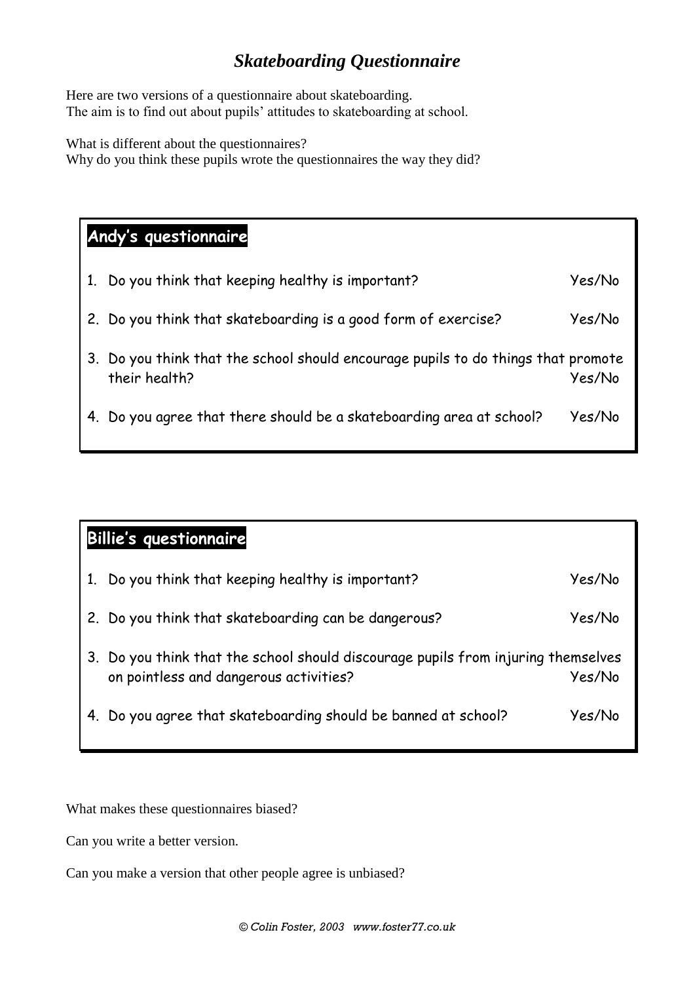### *Skateboarding Questionnaire*

Here are two versions of a questionnaire about skateboarding. The aim is to find out about pupils' attitudes to skateboarding at school.

What is different about the questionnaires? Why do you think these pupils wrote the questionnaires the way they did?

# **Andy's questionnaire**

| 1. | Do you think that keeping healthy is important?                                                    | Yes/No |
|----|----------------------------------------------------------------------------------------------------|--------|
|    | 2. Do you think that skateboarding is a good form of exercise?                                     | Yes/No |
|    | 3. Do you think that the school should encourage pupils to do things that promote<br>their health? | Yes/No |
|    | 4. Do you agree that there should be a skateboarding area at school?                               | Yes/No |

| <b>Billie's questionnaire</b> |                                                                                                                             |        |  |
|-------------------------------|-----------------------------------------------------------------------------------------------------------------------------|--------|--|
|                               | Do you think that keeping healthy is important?                                                                             | Yes/No |  |
|                               | 2. Do you think that skateboarding can be dangerous?                                                                        | Yes/No |  |
|                               | 3. Do you think that the school should discourage pupils from injuring themselves<br>on pointless and dangerous activities? | Yes/No |  |
|                               | 4. Do you agree that skateboarding should be banned at school?                                                              | Yes/No |  |

What makes these questionnaires biased?

Can you write a better version.

Can you make a version that other people agree is unbiased?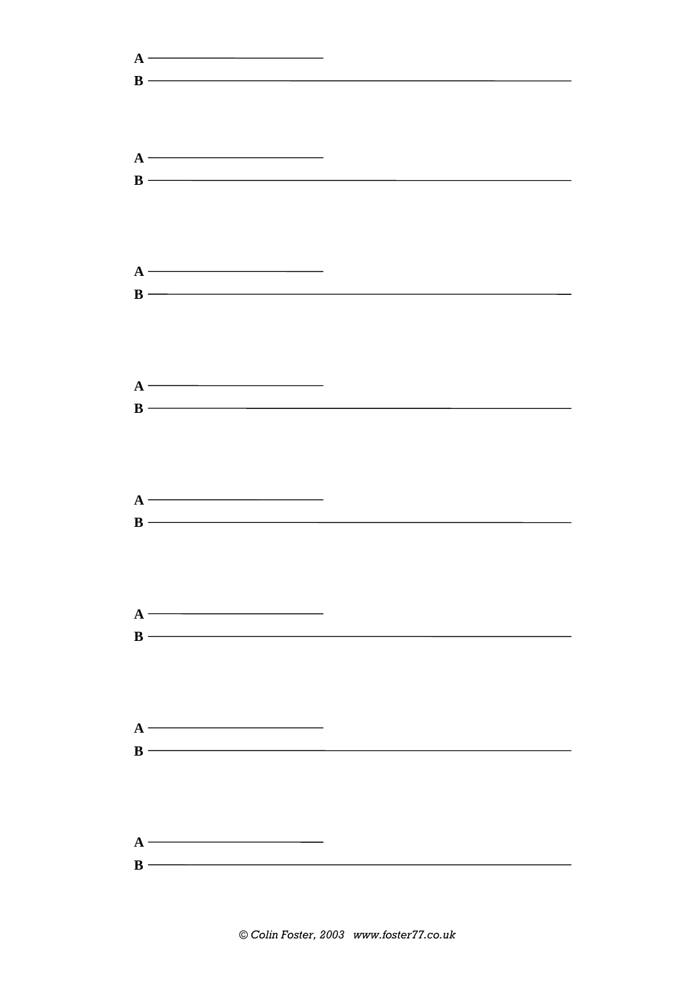